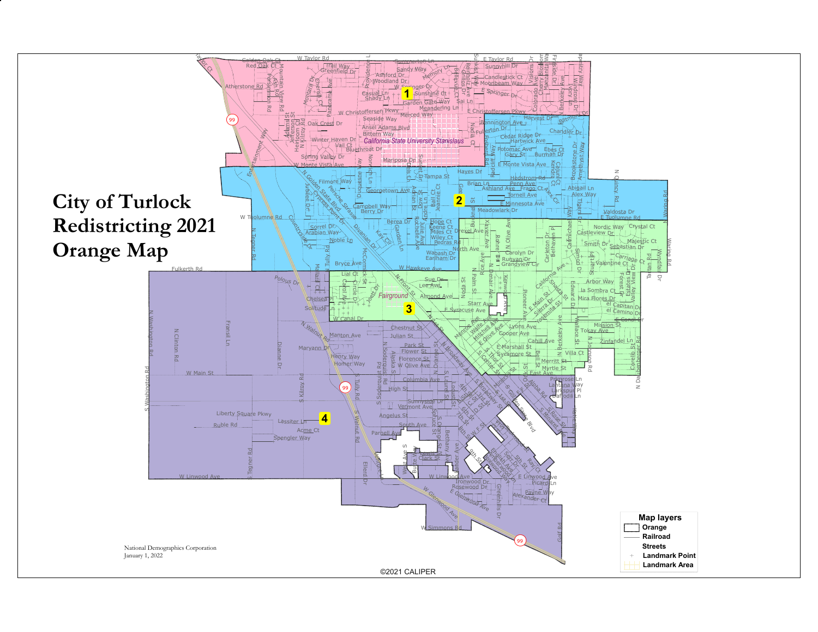